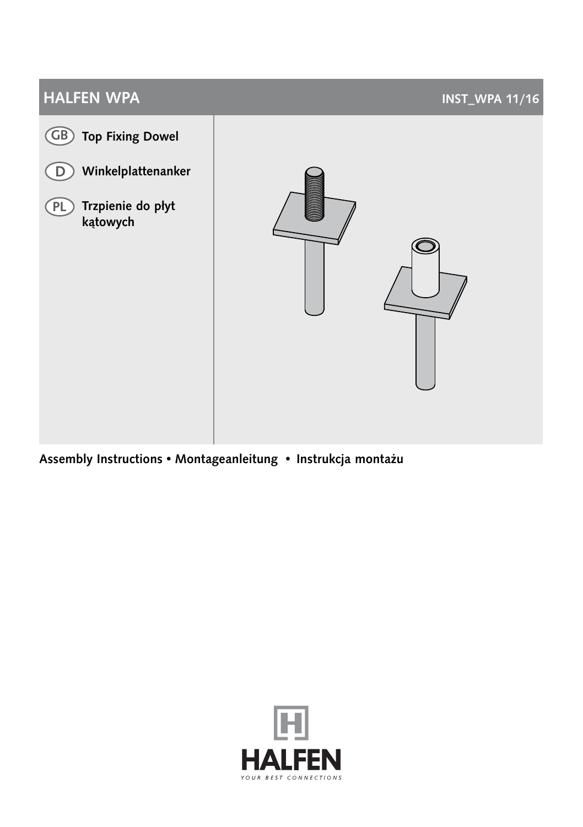# **HALFEN WPA INST\_WPA** 11/16 GB) Top Fixing Dowel D Winkelplattenanker PL) Trzpienie do płyt kątowych

Assembly Instructions • Montageanleitung • Instrukcja montażu

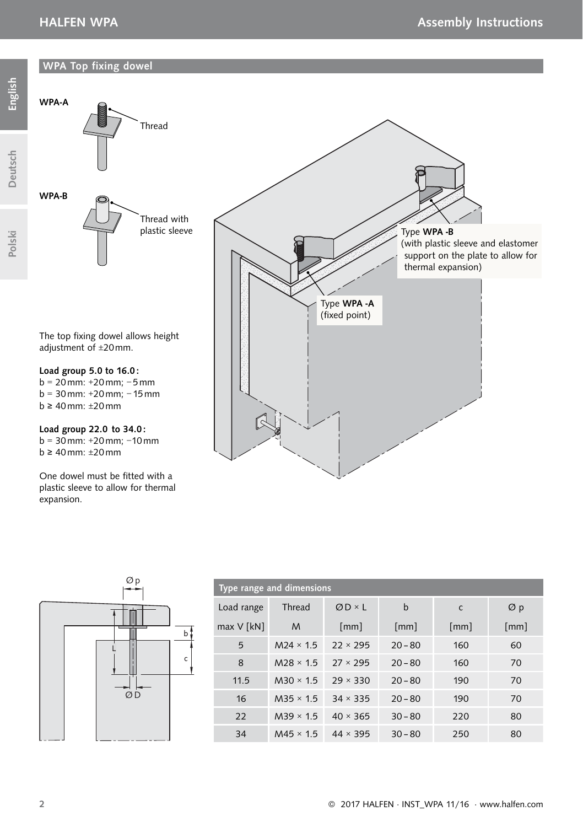# WPA Top fixing dowel



 $b \geq 40$  mm:  $\pm 20$  mm

One dowel must be fitted with a plastic sleeve to allow for thermal expansion.



| Type range and dimensions |                  |                 |                    |                    |      |
|---------------------------|------------------|-----------------|--------------------|--------------------|------|
| Load range                | Thread           | $QD \times L$   | b                  | c                  | Øρ   |
| $max V$ [kN]              | M                | [mm]            | $\lceil mm \rceil$ | $\lceil mm \rceil$ | [mm] |
| 5                         | $M24 \times 1.5$ | $22 \times 295$ | $20 - 80$          | 160                | 60   |
| 8                         | $M28 \times 1.5$ | $27 \times 295$ | $20 - 80$          | 160                | 70   |
| 11.5                      | $M30 \times 1.5$ | $29 \times 330$ | $20 - 80$          | 190                | 70   |
| 16                        | $M35 \times 1.5$ | $34 \times 335$ | $20 - 80$          | 190                | 70   |
| 22                        | $M39 \times 1.5$ | $40 \times 365$ | $30 - 80$          | 220                | 80   |
| 34                        | $M45 \times 15$  | $44 \times 395$ | $30 - 80$          | 250                | 80   |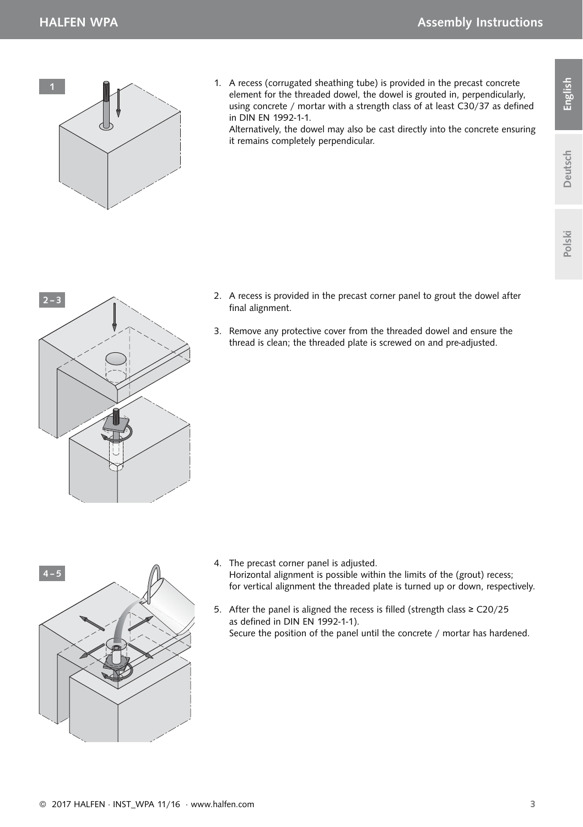

1. A recess (corrugated sheathing tube) is provided in the precast concrete element for the threaded dowel, the dowel is grouted in, perpendicularly, using concrete / mortar with a strength class of at least  $C30/37$  as defined in DIN EN 1992-1-1.

Alternatively, the dowel may also be cast directly into the concrete ensuring it remains completely perpendicular.

Deutsch English

Deutsch

English



- 2. A recess is provided in the precast corner panel to grout the dowel after final alignment.
- 3. Remove any protective cover from the threaded dowel and ensure the thread is clean; the threaded plate is screwed on and pre-adjusted.



- 4. The precast corner panel is adjusted. Horizontal alignment is possible within the limits of the (grout) recess; for vertical alignment the threaded plate is turned up or down, respectively.
- 5. After the panel is aligned the recess is filled (strength class ≥  $C20/25$ as defined in DIN EN 1992-1-1). Secure the position of the panel until the concrete / mortar has hardened.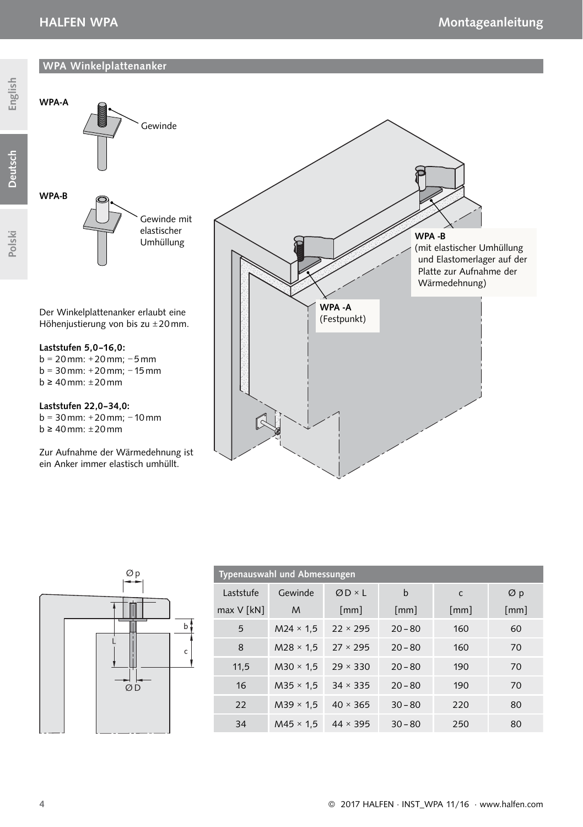# WPA Winkelplattenanker



Zur Aufnahme der Wärmedehnung ist ein Anker immer elastisch umhüllt.



| Typenauswahl und Abmessungen |                  |                 |                    |                    |      |
|------------------------------|------------------|-----------------|--------------------|--------------------|------|
| Laststufe                    | Gewinde          | $QD \times L$   | $\mathbf b$        | c                  | Øρ   |
| $max V$ [kN]                 | M                | [mm]            | $\lceil mm \rceil$ | $\lceil mm \rceil$ | [mm] |
| 5                            | $M24 \times 1.5$ | $22 \times 295$ | $20 - 80$          | 160                | 60   |
| 8                            | $M28 \times 1.5$ | $27 \times 295$ | $20 - 80$          | 160                | 70   |
| 11,5                         | $M30 \times 1.5$ | $29 \times 330$ | $20 - 80$          | 190                | 70   |
| 16                           | $M35 \times 1.5$ | $34 \times 335$ | $20 - 80$          | 190                | 70   |
| 22                           | $M39 \times 1.5$ | $40 \times 365$ | $30 - 80$          | 220                | 80   |
| 34                           | $M45 \times 1.5$ | $44 \times 395$ | $30 - 80$          | 250                | 80   |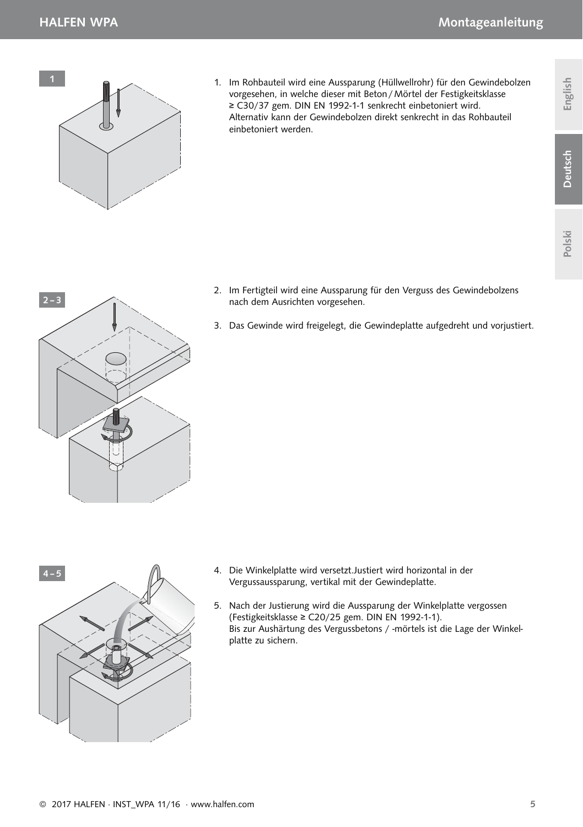$2 - 3$ 



1. Im Rohbauteil wird eine Aussparung (Hüllwellrohr) für den Gewindebolzen vorgesehen, in welche dieser mit Beton / Mörtel der Festigkeitsklasse ≥ C30/37 gem. DIN EN 1992-1-1 senkrecht einbetoniert wird. Alternativ kann der Gewindebolzen direkt senkrecht in das Rohbauteil einbetoniert werden.

Polski



- 2. Im Fertigteil wird eine Aussparung für den Verguss des Gewindebolzens nach dem Ausrichten vorgesehen.
- 3. Das Gewinde wird freigelegt, die Gewindeplatte aufgedreht und vorjustiert.



- 4. Die Winkelplatte wird versetzt.Justiert wird horizontal in der Vergussaussparung, vertikal mit der Gewindeplatte.
- 5. Nach der Justierung wird die Aussparung der Winkelplatte vergossen (Festigkeitsklasse ≥ C20/25 gem. DIN EN 1992-1-1). Bis zur Aushärtung des Vergussbetons / -mörtels ist die Lage der Winkelplatte zu sichern.

Deutsch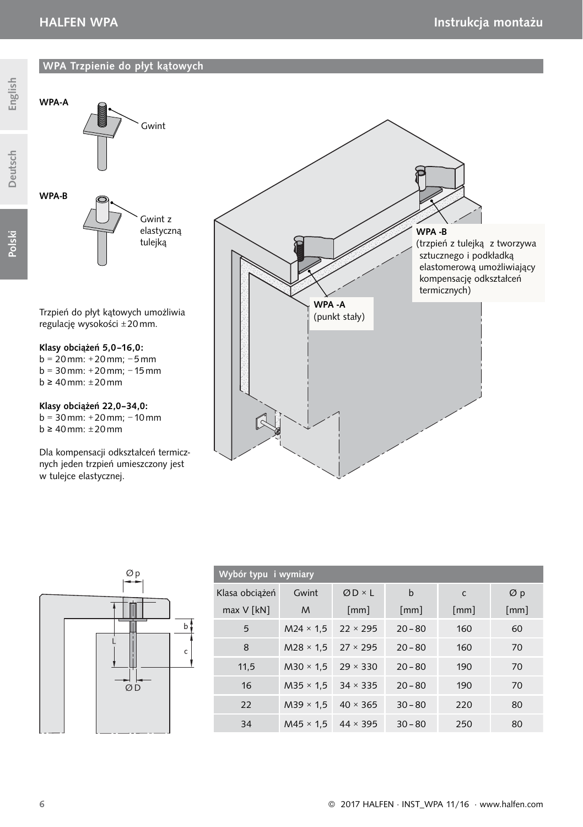WPA-A

WPA-B

# WPA Trzpienie do płyt kątowych



Trzpień do płyt kątowych umożliwia regulację wysokości ± 20 mm.

Gwint z elastyczną tulejką

Gwint

### Klasy obciążeń 5,0–16,0:

b = 20 mm: + 20 mm; − 5 mm b = 30 mm: + 20 mm; − 15 mm  $b \geq 40$  mm:  $\pm 20$  mm

#### Klasy obciążeń 22,0–34,0:

 $b = 30$  mm: +20 mm; -10 mm  $b \geq 40$  mm:  $\pm 20$  mm

Dla kompensacji odkształceń termicznych jeden trzpień umieszczony jest w tulejce elastycznej.



|  | $\frac{\varphi p}{\rightarrow}$ |   |
|--|---------------------------------|---|
|  |                                 |   |
|  |                                 | b |
|  |                                 | C |
|  | $\overline{O}$                  |   |
|  |                                 |   |

| Wybór typu i wymiary |                                  |                    |                    |                    |                    |
|----------------------|----------------------------------|--------------------|--------------------|--------------------|--------------------|
| Klasa obciążeń       | Gwint                            | $ØD \times L$      | b                  | $\mathsf{C}$       | Øρ                 |
| $max V$ [kN]         | M                                | $\lceil mm \rceil$ | $\lceil mm \rceil$ | $\lceil mm \rceil$ | $\lceil mm \rceil$ |
| 5                    | $M24 \times 1.5$                 | $22 \times 295$    | $20 - 80$          | 160                | 60                 |
| 8                    | $M28 \times 1.5$                 | $27 \times 295$    | $20 - 80$          | 160                | 70                 |
| 11,5                 | $M30 \times 1.5$                 | $29 \times 330$    | $20 - 80$          | 190                | 70                 |
| 16                   | $M35 \times 1.5$ 34 $\times$ 335 |                    | $20 - 80$          | 190                | 70                 |
| 22                   | $M39 \times 1.5$                 | $40 \times 365$    | $30 - 80$          | 220                | 80                 |
| 34                   | $M45 \times 1.5$ 44 $\times$ 395 |                    | $30 - 80$          | 250                | 80                 |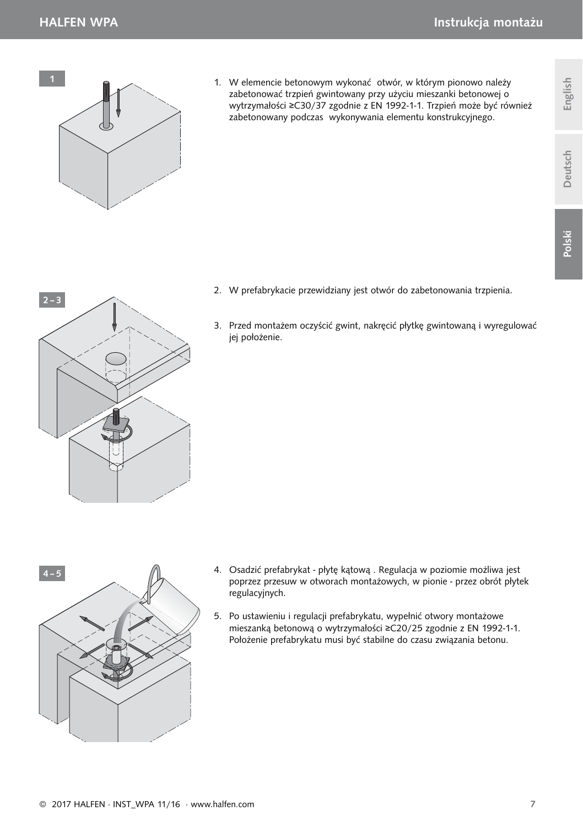



- 4. Osadzić prefabrykat płytę kątową . Regulacja w poziomie możliwa jest poprzez przesuw w otworach montażowych, w pionie - przez obrót płytek regulacyjnych.
- 5. Po ustawieniu i regulacji prefabrykatu, wypełnić otwory montażowe mieszanką betonową o wytrzymałości ≥C20/25 zgodnie z EN 1992-1-1. Położenie prefabrykatu musi być stabilne do czasu związania betonu.